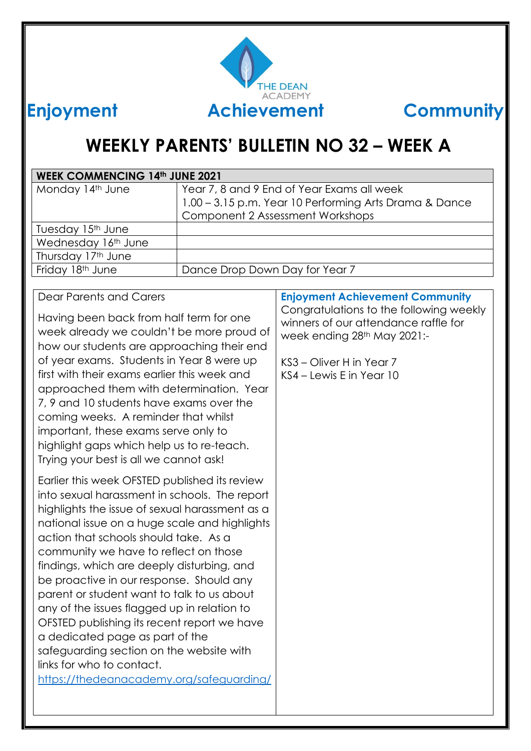

## **WEEKLY PARENTS' BULLETIN NO 32 – WEEK A**

| <b>WEEK COMMENCING 14th JUNE 2021</b> |                                                        |  |
|---------------------------------------|--------------------------------------------------------|--|
| Monday 14th June                      | Year 7, 8 and 9 End of Year Exams all week             |  |
|                                       | 1.00 - 3.15 p.m. Year 10 Performing Arts Drama & Dance |  |
|                                       | Component 2 Assessment Workshops                       |  |
| Tuesday 15 <sup>th</sup> June         |                                                        |  |
| Wednesday 16th June                   |                                                        |  |
| Thursday 17th June                    |                                                        |  |
| Friday 18th June                      | Dance Drop Down Day for Year 7                         |  |
|                                       |                                                        |  |

#### Dear Parents and Carers

Having been back from half term for one week already we couldn't be more proud of how our students are approaching their end of year exams. Students in Year 8 were up first with their exams earlier this week and approached them with determination. Year 7, 9 and 10 students have exams over the coming weeks. A reminder that whilst important, these exams serve only to highlight gaps which help us to re-teach. Trying your best is all we cannot ask!

Earlier this week OFSTED published its review into sexual harassment in schools. The report highlights the issue of sexual harassment as a national issue on a huge scale and highlights action that schools should take. As a community we have to reflect on those findings, which are deeply disturbing, and be proactive in our response. Should any parent or student want to talk to us about any of the issues flagged up in relation to OFSTED publishing its recent report we have a dedicated page as part of the safeguarding section on the website with links for who to contact. <https://thedeanacademy.org/safeguarding/>

#### **Enjoyment Achievement Community**

Congratulations to the following weekly winners of our attendance raffle for week ending 28<sup>th</sup> May 2021:-

KS3 – Oliver H in Year 7 KS4 – Lewis E in Year 10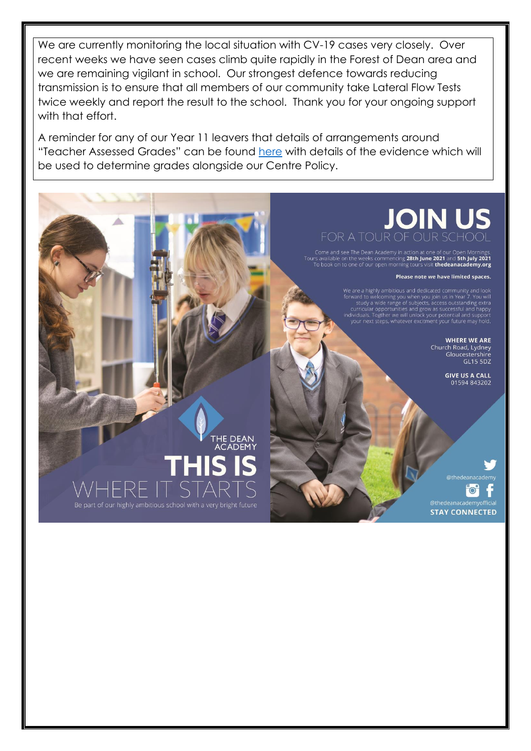We are currently monitoring the local situation with CV-19 cases very closely. Over recent weeks we have seen cases climb quite rapidly in the Forest of Dean area and we are remaining vigilant in school. Our strongest defence towards reducing transmission is to ensure that all members of our community take Lateral Flow Tests twice weekly and report the result to the school. Thank you for your ongoing support with that effort.

A reminder for any of our Year 11 leavers that details of arrangements around "Teacher Assessed Grades" can be found here with details of the evidence which will be used to determine grades alongside our Centre Policy.

# FOR A TOUR OF OUR

Come and see The Dean Academy in action at one of our Open Mornings.<br>Is available on the weeks commencing 28th June 2021 and 5th July 2021. To book on to one of our open morning tours visit **thedeanacademy.org** 

Please note we have limited spaces.

We are a highly ambitious and dedicated community and look<br>forward to welcoming you when you join us in Year 7. You will<br>study a wide range of subjects, access outstanding extra<br>curricular opportunities and grow as success

**WHERE WE ARE** Church Road, Lydney Gloucestershire<br>GL15 5DZ

> **GIVE US A CALL** 01594 843202

"o"

**STAY CONNECTED** 

THE DEAN ACADEMY Be part of our highly ambitious school with a very bright future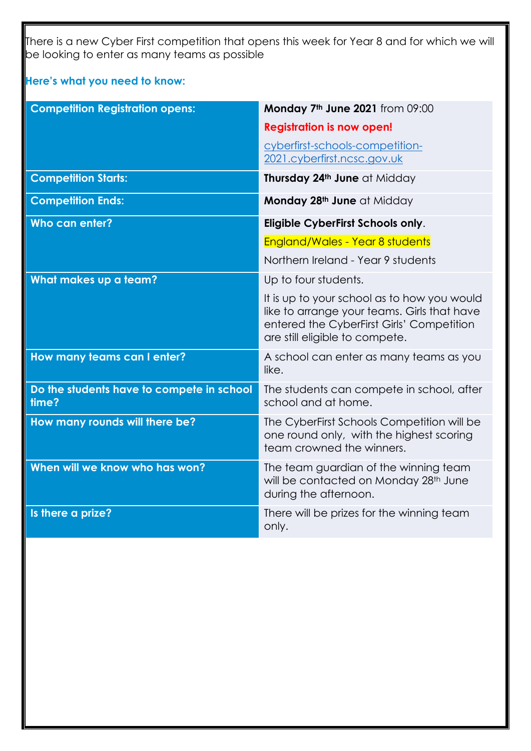There is a new Cyber First competition that opens this week for Year 8 and for which we will be looking to enter as many teams as possible

**Here's what you need to know:**

| <b>Competition Registration opens:</b>             | Monday 7 <sup>th</sup> June 2021 from 09:00                                                                                                                               |
|----------------------------------------------------|---------------------------------------------------------------------------------------------------------------------------------------------------------------------------|
|                                                    | <b>Registration is now open!</b>                                                                                                                                          |
|                                                    | cyberfirst-schools-competition-                                                                                                                                           |
|                                                    | 2021.cyberfirst.ncsc.gov.uk                                                                                                                                               |
| <b>Competition Starts:</b>                         | Thursday 24th June at Midday                                                                                                                                              |
| <b>Competition Ends:</b>                           | Monday 28th June at Midday                                                                                                                                                |
| Who can enter?                                     | Eligible CyberFirst Schools only.                                                                                                                                         |
|                                                    | <b>England/Wales - Year 8 students</b>                                                                                                                                    |
|                                                    | Northern Ireland - Year 9 students                                                                                                                                        |
| What makes up a team?                              | Up to four students.                                                                                                                                                      |
|                                                    | It is up to your school as to how you would<br>like to arrange your teams. Girls that have<br>entered the CyberFirst Girls' Competition<br>are still eligible to compete. |
| How many teams can I enter?                        | A school can enter as many teams as you<br>like.                                                                                                                          |
| Do the students have to compete in school<br>time? | The students can compete in school, after<br>school and at home.                                                                                                          |
| How many rounds will there be?                     | The CyberFirst Schools Competition will be<br>one round only, with the highest scoring<br>team crowned the winners.                                                       |
| When will we know who has won?                     | The team guardian of the winning team<br>will be contacted on Monday 28th June<br>during the afternoon.                                                                   |
| Is there a prize?                                  | There will be prizes for the winning team<br>only.                                                                                                                        |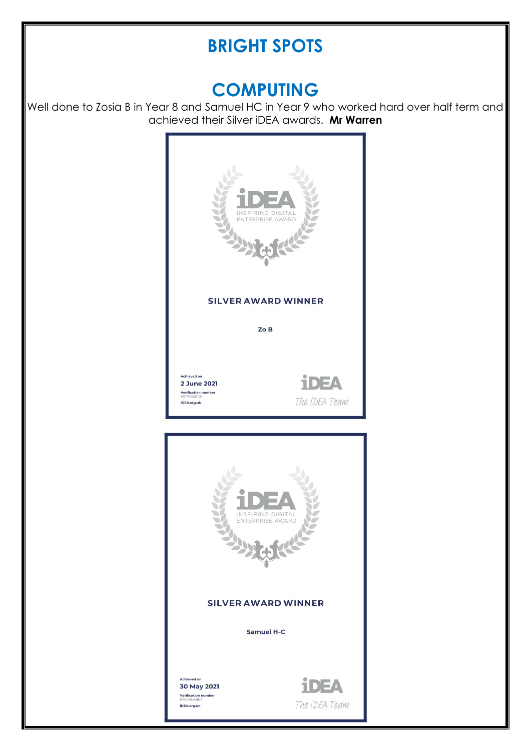### **BRIGHT SPOTS**

#### **COMPUTING**

Well done to Zosia B in Year 8 and Samuel HC in Year 9 who worked hard over half term and achieved their Silver iDEA awards. **Mr Warren**

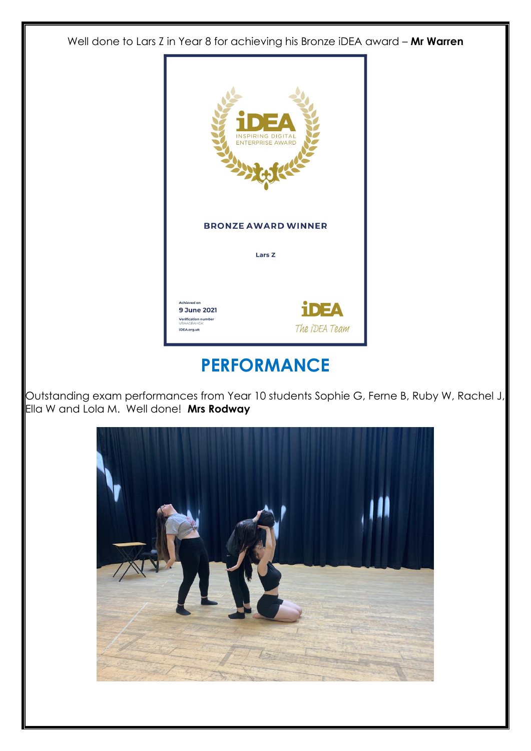Well done to Lars Z in Year 8 for achieving his Bronze iDEA award – **Mr Warren**



### **PERFORMANCE**

Outstanding exam performances from Year 10 students Sophie G, Ferne B, Ruby W, Rachel J, Ella W and Lola M. Well done! **Mrs Rodway**

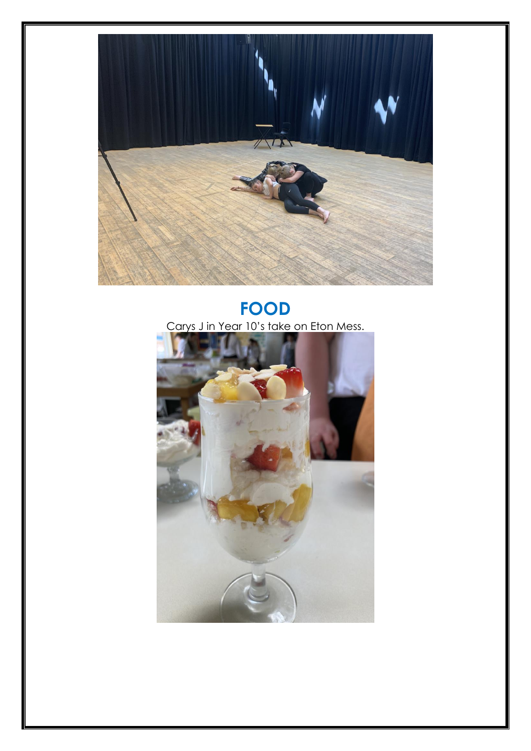

#### **FOOD** Carys J in Year 10's take on Eton Mess.

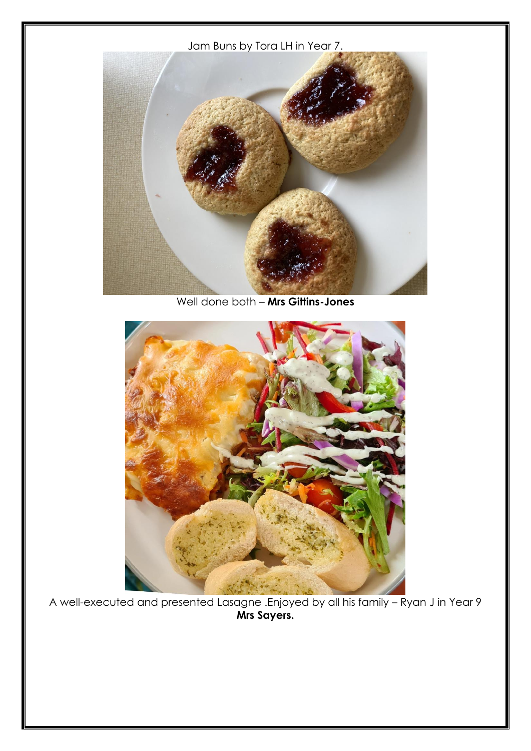Jam Buns by Tora LH in Year 7.



Well done both – **Mrs Gittins-Jones**



A well-executed and presented Lasagne .Enjoyed by all his family – Ryan J in Year 9 **Mrs Sayers.**